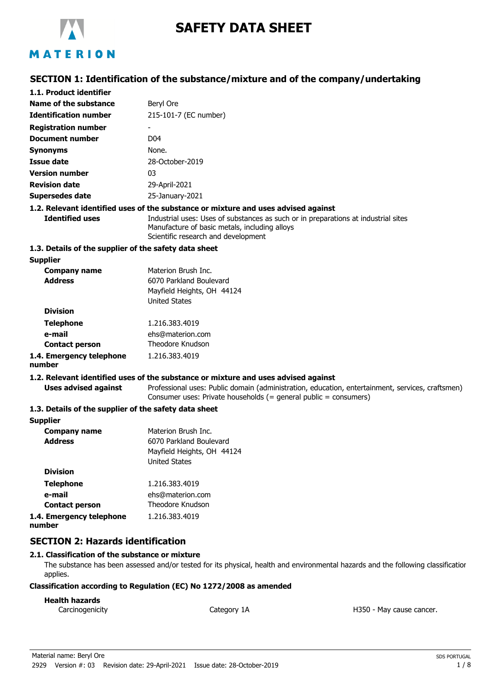

# **SAFETY DATA SHEET**

## **SECTION 1: Identification of the substance/mixture and of the company/undertaking**

| 1.1. Product identifier                               |                                                                                                                                                                            |
|-------------------------------------------------------|----------------------------------------------------------------------------------------------------------------------------------------------------------------------------|
| Name of the substance                                 | Beryl Ore                                                                                                                                                                  |
| <b>Identification number</b>                          | 215-101-7 (EC number)                                                                                                                                                      |
| <b>Registration number</b>                            |                                                                                                                                                                            |
| <b>Document number</b>                                | D <sub>04</sub>                                                                                                                                                            |
| <b>Synonyms</b>                                       | None.                                                                                                                                                                      |
| <b>Issue date</b>                                     | 28-October-2019                                                                                                                                                            |
| <b>Version number</b>                                 | 03                                                                                                                                                                         |
| <b>Revision date</b>                                  | 29-April-2021                                                                                                                                                              |
| <b>Supersedes date</b>                                | 25-January-2021                                                                                                                                                            |
|                                                       | 1.2. Relevant identified uses of the substance or mixture and uses advised against                                                                                         |
| <b>Identified uses</b>                                | Industrial uses: Uses of substances as such or in preparations at industrial sites<br>Manufacture of basic metals, including alloys<br>Scientific research and development |
| 1.3. Details of the supplier of the safety data sheet |                                                                                                                                                                            |
| <b>Supplier</b>                                       |                                                                                                                                                                            |
| <b>Company name</b><br><b>Address</b>                 | Materion Brush Inc.<br>6070 Parkland Boulevard<br>Mayfield Heights, OH 44124<br><b>United States</b>                                                                       |
| <b>Division</b>                                       |                                                                                                                                                                            |
| <b>Telephone</b>                                      | 1.216.383.4019                                                                                                                                                             |
| e-mail                                                | ehs@materion.com                                                                                                                                                           |
| <b>Contact person</b>                                 | Theodore Knudson                                                                                                                                                           |
| 1.4. Emergency telephone<br>number                    | 1.216.383.4019                                                                                                                                                             |
|                                                       | 1.2. Relevant identified uses of the substance or mixture and uses advised against                                                                                         |
| <b>Uses advised against</b>                           | Professional uses: Public domain (administration, education, entertainment, services, craftsmen)<br>Consumer uses: Private households (= general public = consumers)       |
| 1.3. Details of the supplier of the safety data sheet |                                                                                                                                                                            |
| <b>Supplier</b>                                       |                                                                                                                                                                            |
| <b>Company name</b>                                   | Materion Brush Inc.                                                                                                                                                        |
| <b>Address</b>                                        | 6070 Parkland Boulevard<br>Mayfield Heights, OH 44124<br><b>United States</b>                                                                                              |
| <b>Division</b>                                       |                                                                                                                                                                            |
| Talanhona                                             | 1 716 383 4010                                                                                                                                                             |

| <b>Telephone</b>         | 1.216.383.4019   |
|--------------------------|------------------|
| e-mail                   | ehs@materion.com |
| <b>Contact person</b>    | Theodore Knudson |
| 1.4. Emergency telephone | 1.216.383.4019   |
| number                   |                  |

## **SECTION 2: Hazards identification**

## **2.1. Classification of the substance or mixture**

The substance has been assessed and/or tested for its physical, health and environmental hazards and the following classification applies.

#### **Classification according to Regulation (EC) No 1272/2008 as amended**

## **Health hazards**

Carcinogenicity **Category 1A** Category 1A **Carcinogenicity** H350 - May cause cancer.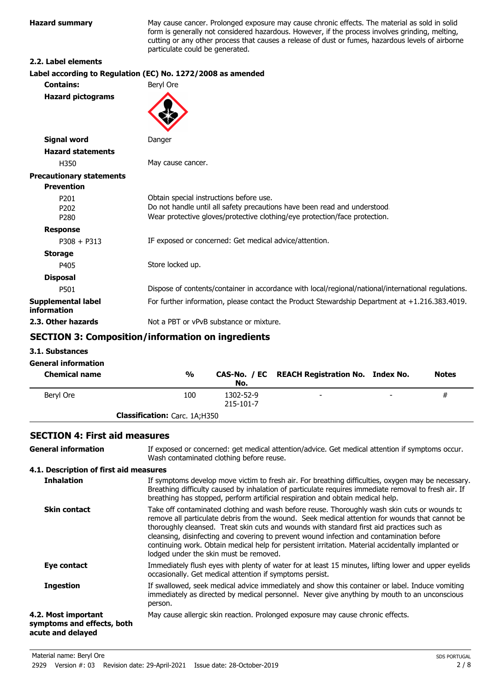**Hazard summary** May cause cancer. Prolonged exposure may cause chronic effects. The material as sold in solid form is generally not considered hazardous. However, if the process involves grinding, melting, cutting or any other process that causes a release of dust or fumes, hazardous levels of airborne particulate could be generated.

#### **2.2. Label elements**

## **Label according to Regulation (EC) No. 1272/2008 as amended**

| <b>Contains:</b>                                         | Beryl Ore                                                                                                                                                                                          |
|----------------------------------------------------------|----------------------------------------------------------------------------------------------------------------------------------------------------------------------------------------------------|
| <b>Hazard pictograms</b>                                 |                                                                                                                                                                                                    |
| <b>Signal word</b>                                       | Danger                                                                                                                                                                                             |
| <b>Hazard statements</b>                                 |                                                                                                                                                                                                    |
| H350                                                     | May cause cancer.                                                                                                                                                                                  |
| <b>Precautionary statements</b>                          |                                                                                                                                                                                                    |
| <b>Prevention</b>                                        |                                                                                                                                                                                                    |
| P <sub>201</sub><br>P <sub>202</sub><br>P <sub>280</sub> | Obtain special instructions before use.<br>Do not handle until all safety precautions have been read and understood.<br>Wear protective gloves/protective clothing/eye protection/face protection. |
| <b>Response</b>                                          |                                                                                                                                                                                                    |
| $P308 + P313$                                            | IF exposed or concerned: Get medical advice/attention.                                                                                                                                             |
| <b>Storage</b>                                           |                                                                                                                                                                                                    |
| P405                                                     | Store locked up.                                                                                                                                                                                   |
| <b>Disposal</b>                                          |                                                                                                                                                                                                    |
| P501                                                     | Dispose of contents/container in accordance with local/regional/national/international regulations.                                                                                                |
| Supplemental label<br>information                        | For further information, please contact the Product Stewardship Department at +1.216.383.4019.                                                                                                     |
| 2.3. Other hazards                                       | Not a PBT or vPvB substance or mixture.                                                                                                                                                            |
|                                                          |                                                                                                                                                                                                    |

## **SECTION 3: Composition/information on ingredients**

**3.1. Substances**

**General information**

| <b>Chemical name</b> | %                                    | No.                    | CAS-No. / EC REACH Registration No. Index No. |                          | <b>Notes</b> |
|----------------------|--------------------------------------|------------------------|-----------------------------------------------|--------------------------|--------------|
| Bervl Ore            | 100                                  | 1302-52-9<br>215-101-7 | $\overline{\phantom{a}}$                      | $\overline{\phantom{0}}$ | #            |
|                      | <b>Classification:</b> Carc. 1A;H350 |                        |                                               |                          |              |

## **SECTION 4: First aid measures**

| <b>General information</b>                                             | If exposed or concerned: get medical attention/advice. Get medical attention if symptoms occur.<br>Wash contaminated clothing before reuse.                                                                                                                                                                                                                                                                                                                                                                                             |
|------------------------------------------------------------------------|-----------------------------------------------------------------------------------------------------------------------------------------------------------------------------------------------------------------------------------------------------------------------------------------------------------------------------------------------------------------------------------------------------------------------------------------------------------------------------------------------------------------------------------------|
| 4.1. Description of first aid measures                                 |                                                                                                                                                                                                                                                                                                                                                                                                                                                                                                                                         |
| <b>Inhalation</b>                                                      | If symptoms develop move victim to fresh air. For breathing difficulties, oxygen may be necessary.<br>Breathing difficulty caused by inhalation of particulate requires immediate removal to fresh air. If<br>breathing has stopped, perform artificial respiration and obtain medical help.                                                                                                                                                                                                                                            |
| <b>Skin contact</b>                                                    | Take off contaminated clothing and wash before reuse. Thoroughly wash skin cuts or wounds to<br>remove all particulate debris from the wound. Seek medical attention for wounds that cannot be<br>thoroughly cleansed. Treat skin cuts and wounds with standard first aid practices such as<br>cleansing, disinfecting and covering to prevent wound infection and contamination before<br>continuing work. Obtain medical help for persistent irritation. Material accidentally implanted or<br>lodged under the skin must be removed. |
| Eye contact                                                            | Immediately flush eyes with plenty of water for at least 15 minutes, lifting lower and upper eyelids<br>occasionally. Get medical attention if symptoms persist.                                                                                                                                                                                                                                                                                                                                                                        |
| <b>Ingestion</b>                                                       | If swallowed, seek medical advice immediately and show this container or label. Induce vomiting<br>immediately as directed by medical personnel. Never give anything by mouth to an unconscious<br>person.                                                                                                                                                                                                                                                                                                                              |
| 4.2. Most important<br>symptoms and effects, both<br>acute and delayed | May cause allergic skin reaction. Prolonged exposure may cause chronic effects.                                                                                                                                                                                                                                                                                                                                                                                                                                                         |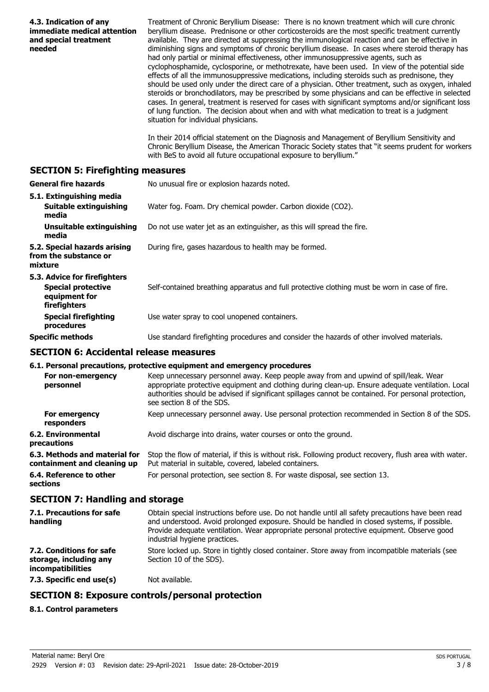| 4.3. Indication of any<br>immediate medical attention<br>and special treatment<br>needed   | Treatment of Chronic Beryllium Disease: There is no known treatment which will cure chronic<br>beryllium disease. Prednisone or other corticosteroids are the most specific treatment currently<br>available. They are directed at suppressing the immunological reaction and can be effective in<br>diminishing signs and symptoms of chronic beryllium disease. In cases where steroid therapy has<br>had only partial or minimal effectiveness, other immunosuppressive agents, such as<br>cyclophosphamide, cyclosporine, or methotrexate, have been used. In view of the potential side<br>effects of all the immunosuppressive medications, including steroids such as prednisone, they<br>should be used only under the direct care of a physician. Other treatment, such as oxygen, inhaled<br>steroids or bronchodilators, may be prescribed by some physicians and can be effective in selected<br>cases. In general, treatment is reserved for cases with significant symptoms and/or significant loss<br>of lung function. The decision about when and with what medication to treat is a judgment<br>situation for individual physicians.<br>In their 2014 official statement on the Diagnosis and Management of Beryllium Sensitivity and<br>Chronic Beryllium Disease, the American Thoracic Society states that "it seems prudent for workers |
|--------------------------------------------------------------------------------------------|---------------------------------------------------------------------------------------------------------------------------------------------------------------------------------------------------------------------------------------------------------------------------------------------------------------------------------------------------------------------------------------------------------------------------------------------------------------------------------------------------------------------------------------------------------------------------------------------------------------------------------------------------------------------------------------------------------------------------------------------------------------------------------------------------------------------------------------------------------------------------------------------------------------------------------------------------------------------------------------------------------------------------------------------------------------------------------------------------------------------------------------------------------------------------------------------------------------------------------------------------------------------------------------------------------------------------------------------------------------|
|                                                                                            | with BeS to avoid all future occupational exposure to beryllium."                                                                                                                                                                                                                                                                                                                                                                                                                                                                                                                                                                                                                                                                                                                                                                                                                                                                                                                                                                                                                                                                                                                                                                                                                                                                                             |
| <b>SECTION 5: Firefighting measures</b>                                                    |                                                                                                                                                                                                                                                                                                                                                                                                                                                                                                                                                                                                                                                                                                                                                                                                                                                                                                                                                                                                                                                                                                                                                                                                                                                                                                                                                               |
| <b>General fire hazards</b>                                                                | No unusual fire or explosion hazards noted.                                                                                                                                                                                                                                                                                                                                                                                                                                                                                                                                                                                                                                                                                                                                                                                                                                                                                                                                                                                                                                                                                                                                                                                                                                                                                                                   |
| 5.1. Extinguishing media<br><b>Suitable extinguishing</b><br>media                         | Water fog. Foam. Dry chemical powder. Carbon dioxide (CO2).                                                                                                                                                                                                                                                                                                                                                                                                                                                                                                                                                                                                                                                                                                                                                                                                                                                                                                                                                                                                                                                                                                                                                                                                                                                                                                   |
| <b>Unsuitable extinguishing</b><br>media                                                   | Do not use water jet as an extinguisher, as this will spread the fire.                                                                                                                                                                                                                                                                                                                                                                                                                                                                                                                                                                                                                                                                                                                                                                                                                                                                                                                                                                                                                                                                                                                                                                                                                                                                                        |
| 5.2. Special hazards arising<br>from the substance or<br>mixture                           | During fire, gases hazardous to health may be formed.                                                                                                                                                                                                                                                                                                                                                                                                                                                                                                                                                                                                                                                                                                                                                                                                                                                                                                                                                                                                                                                                                                                                                                                                                                                                                                         |
| 5.3. Advice for firefighters<br><b>Special protective</b><br>equipment for<br>firefighters | Self-contained breathing apparatus and full protective clothing must be worn in case of fire.                                                                                                                                                                                                                                                                                                                                                                                                                                                                                                                                                                                                                                                                                                                                                                                                                                                                                                                                                                                                                                                                                                                                                                                                                                                                 |
| <b>Special firefighting</b><br>procedures                                                  | Use water spray to cool unopened containers.                                                                                                                                                                                                                                                                                                                                                                                                                                                                                                                                                                                                                                                                                                                                                                                                                                                                                                                                                                                                                                                                                                                                                                                                                                                                                                                  |
| <b>Specific methods</b>                                                                    | Use standard firefighting procedures and consider the hazards of other involved materials.                                                                                                                                                                                                                                                                                                                                                                                                                                                                                                                                                                                                                                                                                                                                                                                                                                                                                                                                                                                                                                                                                                                                                                                                                                                                    |
| <b>SECTION 6: Accidental release measures</b>                                              |                                                                                                                                                                                                                                                                                                                                                                                                                                                                                                                                                                                                                                                                                                                                                                                                                                                                                                                                                                                                                                                                                                                                                                                                                                                                                                                                                               |
|                                                                                            | 6.1. Personal precautions, protective equipment and emergency procedures                                                                                                                                                                                                                                                                                                                                                                                                                                                                                                                                                                                                                                                                                                                                                                                                                                                                                                                                                                                                                                                                                                                                                                                                                                                                                      |
| personnel                                                                                  | For non-emergency Keep unnecessary personnel away. Keep people away from and upwind of spill/leak. Wear<br>appropriate protective equipment and clothing during clean-up. Ensure adequate ventilation. Local<br>authorities should be advised if significant spillages cannot be contained. For personal protection,<br>see section 8 of the SDS.                                                                                                                                                                                                                                                                                                                                                                                                                                                                                                                                                                                                                                                                                                                                                                                                                                                                                                                                                                                                             |
| For emergency<br>responders                                                                | Keep unnecessary personnel away. Use personal protection recommended in Section 8 of the SDS.                                                                                                                                                                                                                                                                                                                                                                                                                                                                                                                                                                                                                                                                                                                                                                                                                                                                                                                                                                                                                                                                                                                                                                                                                                                                 |
| <b>6.2. Environmental</b><br>precautions                                                   | Avoid discharge into drains, water courses or onto the ground.                                                                                                                                                                                                                                                                                                                                                                                                                                                                                                                                                                                                                                                                                                                                                                                                                                                                                                                                                                                                                                                                                                                                                                                                                                                                                                |
| 6.3. Methods and material for<br>containment and cleaning up                               | Stop the flow of material, if this is without risk. Following product recovery, flush area with water.<br>Put material in suitable, covered, labeled containers.                                                                                                                                                                                                                                                                                                                                                                                                                                                                                                                                                                                                                                                                                                                                                                                                                                                                                                                                                                                                                                                                                                                                                                                              |
| 6.4. Reference to other<br>sections                                                        | For personal protection, see section 8. For waste disposal, see section 13.                                                                                                                                                                                                                                                                                                                                                                                                                                                                                                                                                                                                                                                                                                                                                                                                                                                                                                                                                                                                                                                                                                                                                                                                                                                                                   |
| <b>SECTION 7: Handling and storage</b>                                                     |                                                                                                                                                                                                                                                                                                                                                                                                                                                                                                                                                                                                                                                                                                                                                                                                                                                                                                                                                                                                                                                                                                                                                                                                                                                                                                                                                               |
| 7.1. Precautions for safe<br>handling                                                      | Obtain special instructions before use. Do not handle until all safety precautions have been read<br>and understood. Avoid prolonged exposure. Should be handled in closed systems, if possible.<br>Provide adequate ventilation. Wear appropriate personal protective equipment. Observe good<br>industrial hygiene practices.                                                                                                                                                                                                                                                                                                                                                                                                                                                                                                                                                                                                                                                                                                                                                                                                                                                                                                                                                                                                                               |
| 7.2. Conditions for safe<br>storage, including any<br>incompatibilities                    | Store locked up. Store in tightly closed container. Store away from incompatible materials (see<br>Section 10 of the SDS).                                                                                                                                                                                                                                                                                                                                                                                                                                                                                                                                                                                                                                                                                                                                                                                                                                                                                                                                                                                                                                                                                                                                                                                                                                    |
| 7.3. Specific end use(s)                                                                   | Not available.                                                                                                                                                                                                                                                                                                                                                                                                                                                                                                                                                                                                                                                                                                                                                                                                                                                                                                                                                                                                                                                                                                                                                                                                                                                                                                                                                |
|                                                                                            | <b>SECTION 8: Exposure controls/personal protection</b>                                                                                                                                                                                                                                                                                                                                                                                                                                                                                                                                                                                                                                                                                                                                                                                                                                                                                                                                                                                                                                                                                                                                                                                                                                                                                                       |
| 8.1. Control parameters                                                                    |                                                                                                                                                                                                                                                                                                                                                                                                                                                                                                                                                                                                                                                                                                                                                                                                                                                                                                                                                                                                                                                                                                                                                                                                                                                                                                                                                               |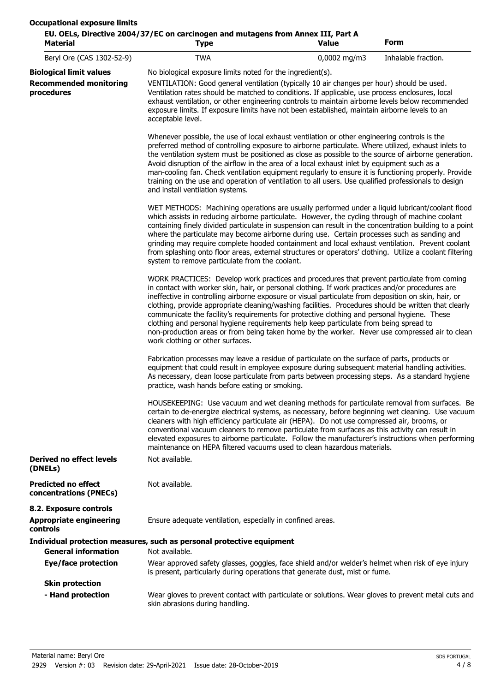| <b>Material</b>                                      | EU. OELs, Directive 2004/37/EC on carcinogen and mutagens from Annex III, Part A<br><b>Type</b>                                                                                                                                                                                                                                                                                                                                                                                                                                                                                                                                                                                                                                              | Value | Form                |  |
|------------------------------------------------------|----------------------------------------------------------------------------------------------------------------------------------------------------------------------------------------------------------------------------------------------------------------------------------------------------------------------------------------------------------------------------------------------------------------------------------------------------------------------------------------------------------------------------------------------------------------------------------------------------------------------------------------------------------------------------------------------------------------------------------------------|-------|---------------------|--|
| Beryl Ore (CAS 1302-52-9)                            | 0,0002 mg/m3<br><b>TWA</b>                                                                                                                                                                                                                                                                                                                                                                                                                                                                                                                                                                                                                                                                                                                   |       | Inhalable fraction. |  |
| <b>Biological limit values</b>                       | No biological exposure limits noted for the ingredient(s).                                                                                                                                                                                                                                                                                                                                                                                                                                                                                                                                                                                                                                                                                   |       |                     |  |
| <b>Recommended monitoring</b><br>procedures          | VENTILATION: Good general ventilation (typically 10 air changes per hour) should be used.<br>Ventilation rates should be matched to conditions. If applicable, use process enclosures, local<br>exhaust ventilation, or other engineering controls to maintain airborne levels below recommended<br>exposure limits. If exposure limits have not been established, maintain airborne levels to an<br>acceptable level.                                                                                                                                                                                                                                                                                                                       |       |                     |  |
|                                                      | Whenever possible, the use of local exhaust ventilation or other engineering controls is the<br>preferred method of controlling exposure to airborne particulate. Where utilized, exhaust inlets to<br>the ventilation system must be positioned as close as possible to the source of airborne generation.<br>Avoid disruption of the airflow in the area of a local exhaust inlet by equipment such as a<br>man-cooling fan. Check ventilation equipment regularly to ensure it is functioning properly. Provide<br>training on the use and operation of ventilation to all users. Use qualified professionals to design<br>and install ventilation systems.                                                                               |       |                     |  |
|                                                      | WET METHODS: Machining operations are usually performed under a liquid lubricant/coolant flood<br>which assists in reducing airborne particulate. However, the cycling through of machine coolant<br>containing finely divided particulate in suspension can result in the concentration building to a point<br>where the particulate may become airborne during use. Certain processes such as sanding and<br>grinding may require complete hooded containment and local exhaust ventilation. Prevent coolant<br>from splashing onto floor areas, external structures or operators' clothing. Utilize a coolant filtering<br>system to remove particulate from the coolant.                                                                 |       |                     |  |
|                                                      | WORK PRACTICES: Develop work practices and procedures that prevent particulate from coming<br>in contact with worker skin, hair, or personal clothing. If work practices and/or procedures are<br>ineffective in controlling airborne exposure or visual particulate from deposition on skin, hair, or<br>clothing, provide appropriate cleaning/washing facilities. Procedures should be written that clearly<br>communicate the facility's requirements for protective clothing and personal hygiene. These<br>clothing and personal hygiene requirements help keep particulate from being spread to<br>non-production areas or from being taken home by the worker. Never use compressed air to clean<br>work clothing or other surfaces. |       |                     |  |
|                                                      | Fabrication processes may leave a residue of particulate on the surface of parts, products or<br>equipment that could result in employee exposure during subsequent material handling activities.<br>As necessary, clean loose particulate from parts between processing steps. As a standard hygiene<br>practice, wash hands before eating or smoking.                                                                                                                                                                                                                                                                                                                                                                                      |       |                     |  |
|                                                      | HOUSEKEEPING: Use vacuum and wet cleaning methods for particulate removal from surfaces. Be<br>certain to de-energize electrical systems, as necessary, before beginning wet cleaning. Use vacuum<br>cleaners with high efficiency particulate air (HEPA). Do not use compressed air, brooms, or<br>conventional vacuum cleaners to remove particulate from surfaces as this activity can result in<br>elevated exposures to airborne particulate. Follow the manufacturer's instructions when performing<br>maintenance on HEPA filtered vacuums used to clean hazardous materials.                                                                                                                                                         |       |                     |  |
| Derived no effect levels<br>(DNELs)                  | Not available.                                                                                                                                                                                                                                                                                                                                                                                                                                                                                                                                                                                                                                                                                                                               |       |                     |  |
| <b>Predicted no effect</b><br>concentrations (PNECs) | Not available.                                                                                                                                                                                                                                                                                                                                                                                                                                                                                                                                                                                                                                                                                                                               |       |                     |  |
| 8.2. Exposure controls                               |                                                                                                                                                                                                                                                                                                                                                                                                                                                                                                                                                                                                                                                                                                                                              |       |                     |  |
| <b>Appropriate engineering</b><br>controls           | Ensure adequate ventilation, especially in confined areas.                                                                                                                                                                                                                                                                                                                                                                                                                                                                                                                                                                                                                                                                                   |       |                     |  |
|                                                      | Individual protection measures, such as personal protective equipment                                                                                                                                                                                                                                                                                                                                                                                                                                                                                                                                                                                                                                                                        |       |                     |  |
| <b>General information</b>                           | Not available.                                                                                                                                                                                                                                                                                                                                                                                                                                                                                                                                                                                                                                                                                                                               |       |                     |  |
| <b>Eye/face protection</b>                           | Wear approved safety glasses, goggles, face shield and/or welder's helmet when risk of eye injury<br>is present, particularly during operations that generate dust, mist or fume.                                                                                                                                                                                                                                                                                                                                                                                                                                                                                                                                                            |       |                     |  |
| <b>Skin protection</b>                               |                                                                                                                                                                                                                                                                                                                                                                                                                                                                                                                                                                                                                                                                                                                                              |       |                     |  |
| - Hand protection                                    | Wear gloves to prevent contact with particulate or solutions. Wear gloves to prevent metal cuts and<br>skin abrasions during handling.                                                                                                                                                                                                                                                                                                                                                                                                                                                                                                                                                                                                       |       |                     |  |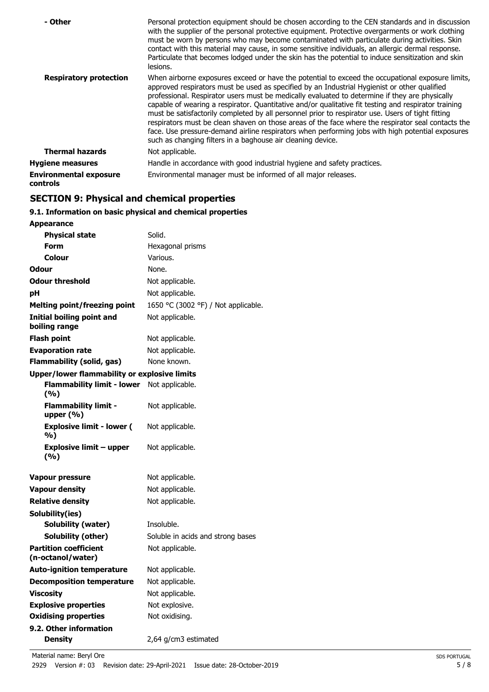| - Other                                          | Personal protection equipment should be chosen according to the CEN standards and in discussion<br>with the supplier of the personal protective equipment. Protective overgarments or work clothing<br>must be worn by persons who may become contaminated with particulate during activities. Skin<br>contact with this material may cause, in some sensitive individuals, an allergic dermal response.<br>Particulate that becomes lodged under the skin has the potential to induce sensitization and skin<br>lesions.                                                                                                                                                                                                                                                                |
|--------------------------------------------------|------------------------------------------------------------------------------------------------------------------------------------------------------------------------------------------------------------------------------------------------------------------------------------------------------------------------------------------------------------------------------------------------------------------------------------------------------------------------------------------------------------------------------------------------------------------------------------------------------------------------------------------------------------------------------------------------------------------------------------------------------------------------------------------|
| <b>Respiratory protection</b>                    | When airborne exposures exceed or have the potential to exceed the occupational exposure limits,<br>approved respirators must be used as specified by an Industrial Hygienist or other qualified<br>professional. Respirator users must be medically evaluated to determine if they are physically<br>capable of wearing a respirator. Quantitative and/or qualitative fit testing and respirator training<br>must be satisfactorily completed by all personnel prior to respirator use. Users of tight fitting<br>respirators must be clean shaven on those areas of the face where the respirator seal contacts the<br>face. Use pressure-demand airline respirators when performing jobs with high potential exposures<br>such as changing filters in a baghouse air cleaning device. |
| <b>Thermal hazards</b>                           | Not applicable.                                                                                                                                                                                                                                                                                                                                                                                                                                                                                                                                                                                                                                                                                                                                                                          |
| <b>Hygiene measures</b>                          | Handle in accordance with good industrial hygiene and safety practices.                                                                                                                                                                                                                                                                                                                                                                                                                                                                                                                                                                                                                                                                                                                  |
| <b>Environmental exposure</b><br><b>controls</b> | Environmental manager must be informed of all major releases.                                                                                                                                                                                                                                                                                                                                                                                                                                                                                                                                                                                                                                                                                                                            |

## **SECTION 9: Physical and chemical properties**

## **9.1. Information on basic physical and chemical properties**

| <b>Appearance</b>                                   |                                     |
|-----------------------------------------------------|-------------------------------------|
| <b>Physical state</b>                               | Solid.                              |
| Form                                                | Hexagonal prisms                    |
| Colour                                              | Various.                            |
| Odour                                               | None.                               |
| <b>Odour threshold</b>                              | Not applicable.                     |
| рH                                                  | Not applicable.                     |
| <b>Melting point/freezing point</b>                 | 1650 °C (3002 °F) / Not applicable. |
| Initial boiling point and<br>boiling range          | Not applicable.                     |
| Flash point                                         | Not applicable.                     |
| <b>Evaporation rate</b>                             | Not applicable.                     |
| <b>Flammability (solid, gas)</b>                    | None known.                         |
| <b>Upper/lower flammability or explosive limits</b> |                                     |
| <b>Flammability limit - lower</b><br>(%)            | Not applicable.                     |
| <b>Flammability limit -</b><br>upper $(\% )$        | Not applicable.                     |
| <b>Explosive limit - lower (</b><br>%)              | Not applicable.                     |
| <b>Explosive limit - upper</b><br>(%)               | Not applicable.                     |
| <b>Vapour pressure</b>                              | Not applicable.                     |
| <b>Vapour density</b>                               | Not applicable.                     |
| <b>Relative density</b>                             | Not applicable.                     |
| Solubility(ies)                                     |                                     |
| <b>Solubility (water)</b>                           | Insoluble.                          |
| Solubility (other)                                  | Soluble in acids and strong bases   |
| <b>Partition coefficient</b><br>(n-octanol/water)   | Not applicable.                     |
| <b>Auto-ignition temperature</b>                    | Not applicable.                     |
| <b>Decomposition temperature</b>                    | Not applicable.                     |
| <b>Viscosity</b>                                    | Not applicable.                     |
| <b>Explosive properties</b>                         | Not explosive.                      |
| <b>Oxidising properties</b>                         | Not oxidising.                      |
| 9.2. Other information                              |                                     |
| <b>Density</b>                                      | 2,64 g/cm3 estimated                |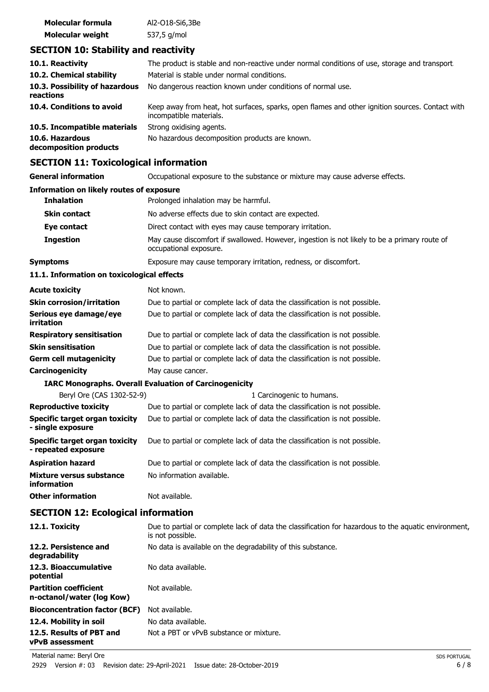| Molecular formula       | Al2-018-Si6,3Be |
|-------------------------|-----------------|
| <b>Molecular weight</b> | 537,5 g/mol     |

## **SECTION 10: Stability and reactivity**

| 10.1. Reactivity                            | The product is stable and non-reactive under normal conditions of use, storage and transport.                              |
|---------------------------------------------|----------------------------------------------------------------------------------------------------------------------------|
| 10.2. Chemical stability                    | Material is stable under normal conditions.                                                                                |
| 10.3. Possibility of hazardous<br>reactions | No dangerous reaction known under conditions of normal use.                                                                |
| 10.4. Conditions to avoid                   | Keep away from heat, hot surfaces, sparks, open flames and other ignition sources. Contact with<br>incompatible materials. |
| 10.5. Incompatible materials                | Strong oxidising agents.                                                                                                   |
| 10.6. Hazardous<br>decomposition products   | No hazardous decomposition products are known.                                                                             |

## **SECTION 11: Toxicological information**

| SLCTION II. TOXICOlOGICAI IIIIOHIAGUUI                |                                                                                                                          |  |  |
|-------------------------------------------------------|--------------------------------------------------------------------------------------------------------------------------|--|--|
| <b>General information</b>                            | Occupational exposure to the substance or mixture may cause adverse effects.                                             |  |  |
| <b>Information on likely routes of exposure</b>       |                                                                                                                          |  |  |
| <b>Inhalation</b>                                     | Prolonged inhalation may be harmful.                                                                                     |  |  |
| <b>Skin contact</b>                                   | No adverse effects due to skin contact are expected.                                                                     |  |  |
| Eye contact                                           | Direct contact with eyes may cause temporary irritation.                                                                 |  |  |
| <b>Ingestion</b>                                      | May cause discomfort if swallowed. However, ingestion is not likely to be a primary route of<br>occupational exposure.   |  |  |
| <b>Symptoms</b>                                       | Exposure may cause temporary irritation, redness, or discomfort.                                                         |  |  |
| 11.1. Information on toxicological effects            |                                                                                                                          |  |  |
| <b>Acute toxicity</b>                                 | Not known.                                                                                                               |  |  |
| <b>Skin corrosion/irritation</b>                      | Due to partial or complete lack of data the classification is not possible.                                              |  |  |
| Serious eye damage/eye<br>irritation                  | Due to partial or complete lack of data the classification is not possible.                                              |  |  |
| <b>Respiratory sensitisation</b>                      | Due to partial or complete lack of data the classification is not possible.                                              |  |  |
| <b>Skin sensitisation</b>                             | Due to partial or complete lack of data the classification is not possible.                                              |  |  |
| <b>Germ cell mutagenicity</b>                         | Due to partial or complete lack of data the classification is not possible.                                              |  |  |
| Carcinogenicity                                       | May cause cancer.                                                                                                        |  |  |
|                                                       | <b>IARC Monographs. Overall Evaluation of Carcinogenicity</b>                                                            |  |  |
| Beryl Ore (CAS 1302-52-9)                             | 1 Carcinogenic to humans.                                                                                                |  |  |
| <b>Reproductive toxicity</b>                          | Due to partial or complete lack of data the classification is not possible.                                              |  |  |
| Specific target organ toxicity<br>- single exposure   | Due to partial or complete lack of data the classification is not possible.                                              |  |  |
| Specific target organ toxicity<br>- repeated exposure | Due to partial or complete lack of data the classification is not possible.                                              |  |  |
| <b>Aspiration hazard</b>                              | Due to partial or complete lack of data the classification is not possible.                                              |  |  |
| Mixture versus substance<br>information               | No information available.                                                                                                |  |  |
| <b>Other information</b>                              | Not available.                                                                                                           |  |  |
| <b>SECTION 12: Ecological information</b>             |                                                                                                                          |  |  |
| 12.1. Toxicity                                        | Due to partial or complete lack of data the classification for hazardous to the aquatic environment,<br>is not possible. |  |  |
| 12.2. Persistence and<br>degradability                | No data is available on the degradability of this substance.                                                             |  |  |
| 12.3. Bioaccumulative<br>potential                    | No data available.                                                                                                       |  |  |

Not available.

**Partition coefficient n-octanol/water (log Kow)**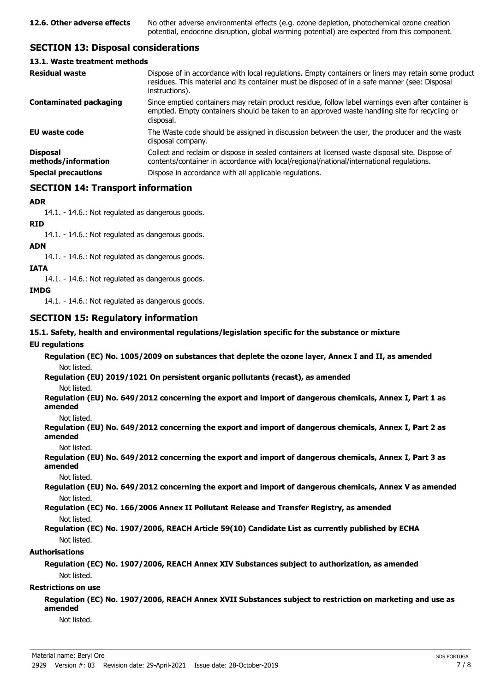## **SECTION 13: Disposal considerations**

#### **13.1. Waste treatment methods**

| <b>Residual waste</b>                                                | Dispose of in accordance with local regulations. Empty containers or liners may retain some product<br>residues. This material and its container must be disposed of in a safe manner (see: Disposal<br>instructions).                                |
|----------------------------------------------------------------------|-------------------------------------------------------------------------------------------------------------------------------------------------------------------------------------------------------------------------------------------------------|
| <b>Contaminated packaging</b>                                        | Since emptied containers may retain product residue, follow label warnings even after container is<br>emptied. Empty containers should be taken to an approved waste handling site for recycling or<br>disposal.                                      |
| <b>EU waste code</b>                                                 | The Waste code should be assigned in discussion between the user, the producer and the waste<br>disposal company.                                                                                                                                     |
| <b>Disposal</b><br>methods/information<br><b>Special precautions</b> | Collect and reclaim or dispose in sealed containers at licensed waste disposal site. Dispose of<br>contents/container in accordance with local/regional/national/international regulations.<br>Dispose in accordance with all applicable regulations. |
|                                                                      |                                                                                                                                                                                                                                                       |

## **SECTION 14: Transport information**

### **ADR**

14.1. - 14.6.: Not regulated as dangerous goods.

**RID**

14.1. - 14.6.: Not regulated as dangerous goods.

#### **ADN**

14.1. - 14.6.: Not regulated as dangerous goods.

## **IATA**

14.1. - 14.6.: Not regulated as dangerous goods.

### **IMDG**

14.1. - 14.6.: Not regulated as dangerous goods.

## **SECTION 15: Regulatory information**

### **15.1. Safety, health and environmental regulations/legislation specific for the substance or mixture**

#### **EU regulations**

**Regulation (EC) No. 1005/2009 on substances that deplete the ozone layer, Annex I and II, as amended** Not listed.

**Regulation (EU) 2019/1021 On persistent organic pollutants (recast), as amended**

Not listed.

**Regulation (EU) No. 649/2012 concerning the export and import of dangerous chemicals, Annex I, Part 1 as amended**

Not listed.

**Regulation (EU) No. 649/2012 concerning the export and import of dangerous chemicals, Annex I, Part 2 as amended**

Not listed.

**Regulation (EU) No. 649/2012 concerning the export and import of dangerous chemicals, Annex I, Part 3 as amended**

Not listed.

**Regulation (EU) No. 649/2012 concerning the export and import of dangerous chemicals, Annex V as amended** Not listed.

**Regulation (EC) No. 166/2006 Annex II Pollutant Release and Transfer Registry, as amended** Not listed.

## **Regulation (EC) No. 1907/2006, REACH Article 59(10) Candidate List as currently published by ECHA** Not listed.

## **Authorisations**

**Regulation (EC) No. 1907/2006, REACH Annex XIV Substances subject to authorization, as amended** Not listed.

## **Restrictions on use**

**Regulation (EC) No. 1907/2006, REACH Annex XVII Substances subject to restriction on marketing and use as amended**

Not listed.